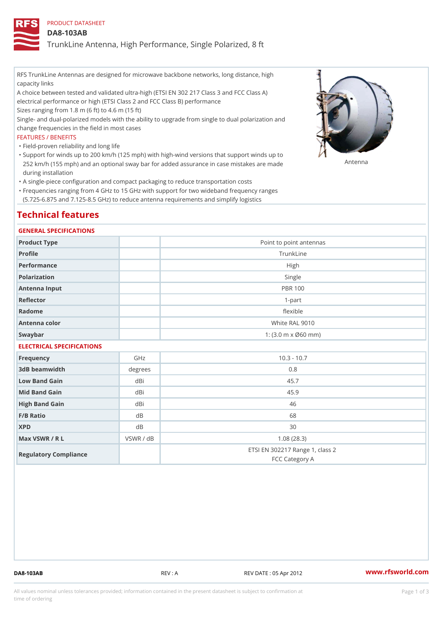## PRODUCT DATASHEET

## DA8-103AB

TrunkLine Antenna, High Performance, Single Polarized, 8 ft

RFS TrunkLine Antennas are designed for microwave backbone networks, long distance, high capacity links

A choice between tested and validated ultra-high (ETSI EN 302 217 Class 3 and FCC Class A) electrical performance or high (ETSI Class 2 and FCC Class B) performance

Sizes ranging from 1.8 m (6 ft) to 4.6 m (15 ft)

Single- and dual-polarized models with the ability to upgrade from single to dual polarization and change frequencies in the field in most cases

### FEATURES / BENEFITS

"Field-proven reliability and long life

- Support for winds up to 200 km/h (125 mph) with high-wind versions that support winds up to " 252 km/h (155 mph) and an optional sway bar for added assurance in case m S # \$ R & B are made during installation
- "A single-piece configuration and compact packaging to reduce transportation costs
- Frequencies ranging from 4 GHz to 15 GHz with support for two wideband frequency ranges " (5.725-6.875 and 7.125-8.5 GHz) to reduce antenna requirements and simplify logistics

# Technical features

### GENERAL SPECIFICATIONS

| Product Type  | Point to point antennas                                 |
|---------------|---------------------------------------------------------|
| Profile       | TrunkLine                                               |
| Performance   | High                                                    |
| Polarization  | Single                                                  |
| Antenna Input | <b>PBR 100</b>                                          |
| Reflector     | $1-part$                                                |
| Radome        | flexible                                                |
| Antenna color | White RAL 9010                                          |
| Swaybar       | 1: $(3.0 \, \text{m} \times \emptyset 60 \, \text{mm})$ |
|               |                                                         |

## ELECTRICAL SPECIFICATIONS

| Frequency             | GHz       | $10.3 - 10.7$                                     |
|-----------------------|-----------|---------------------------------------------------|
| 3dB beamwidth         | degrees   | 0.8                                               |
| Low Band Gain         | dBi       | 45.7                                              |
| Mid Band Gain         | dBi       | 45.9                                              |
| High Band Gain        | dBi       | 46                                                |
| $F/B$ Ratio           | d B       | 68                                                |
| <b>XPD</b>            | d B       | 30                                                |
| Max VSWR / R L        | VSWR / dB | 1.08(28.3)                                        |
| Regulatory Compliance |           | ETSI EN 302217 Range 1, class 2<br>FCC Category A |

DA8-103AB REV : A REV DATE : 05 Apr 2012 [www.](https://www.rfsworld.com)rfsworld.com

All values nominal unless tolerances provided; information contained in the present datasheet is subject to Pcapgeign mation time of ordering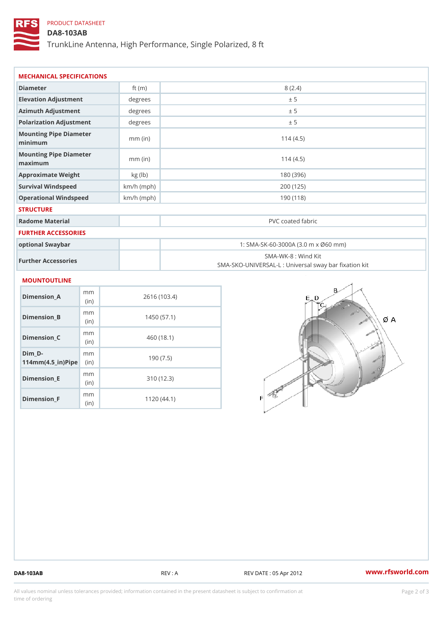# PRODUCT DATASHEET

## DA8-103AB

TrunkLine Antenna, High Performance, Single Polarized, 8 ft

| MECHANICAL SPECIFICATIONS                                                                  |              |                   |                                                                          |  |
|--------------------------------------------------------------------------------------------|--------------|-------------------|--------------------------------------------------------------------------|--|
| Diameter                                                                                   | ft $(m)$     | 8(2.4)            |                                                                          |  |
| Elevation Adjustment                                                                       | degrees      | ± 5               |                                                                          |  |
| Azimuth Adjustment                                                                         | degrees      | ± 5               |                                                                          |  |
| Polarization Adjustment                                                                    | degrees      | ± 5               |                                                                          |  |
| Mounting Pipe Diameter<br>minimum                                                          | $mm$ (in)    | 114(4.5)          |                                                                          |  |
| Mounting Pipe Diameter<br>maximum                                                          | $mm$ (in)    | 114(4.5)          |                                                                          |  |
| Approximate Weight                                                                         | kg (lb)      | 180 (396)         |                                                                          |  |
| Survival Windspeed                                                                         | $km/h$ (mph) | 200 (125)         |                                                                          |  |
| Operational Windspeed                                                                      | $km/h$ (mph) | 190(118)          |                                                                          |  |
| <b>STRUCTURE</b>                                                                           |              |                   |                                                                          |  |
| Radome Material                                                                            |              | PVC coated fabric |                                                                          |  |
| FURTHER ACCESSORIES                                                                        |              |                   |                                                                          |  |
| optional Swaybar                                                                           |              |                   | 1: SMA-SK-60-3000A (3.0 m x Ø60 mm)                                      |  |
| Further Accessories                                                                        |              |                   | SMA-WK-8 : Wind Kit<br>SMA-SKO-UNIVERSAL-L : Universal sway bar fixation |  |
| MOUNTOUTLINE                                                                               |              |                   |                                                                          |  |
| m m<br>Dimension_A<br>(i n)                                                                | 2616 (103.4) |                   |                                                                          |  |
| m m<br>$Dimension_B$<br>(in)                                                               | 1450(57.1)   |                   |                                                                          |  |
| m m<br>$Dimension_C$<br>(in)                                                               | 460 (18.1)   |                   |                                                                          |  |
| $Dim_D - D -$<br>m <sub>m</sub><br>$114$ m m (4.5 _ ir ) $\sqrt{$ im $\cdot$ $\Rightarrow$ | 190(7.5)     |                   |                                                                          |  |
| m m<br><b>Brand Controller</b>                                                             |              | 0.401400          |                                                                          |  |

Dimension\_E

Dimension\_F

(in)

m<sub>m</sub> (in)

310 (12.3)

1120 (44.1)

DA8-103AB REV : A REV DATE : 05 Apr 2012 [www.](https://www.rfsworld.com)rfsworld.com